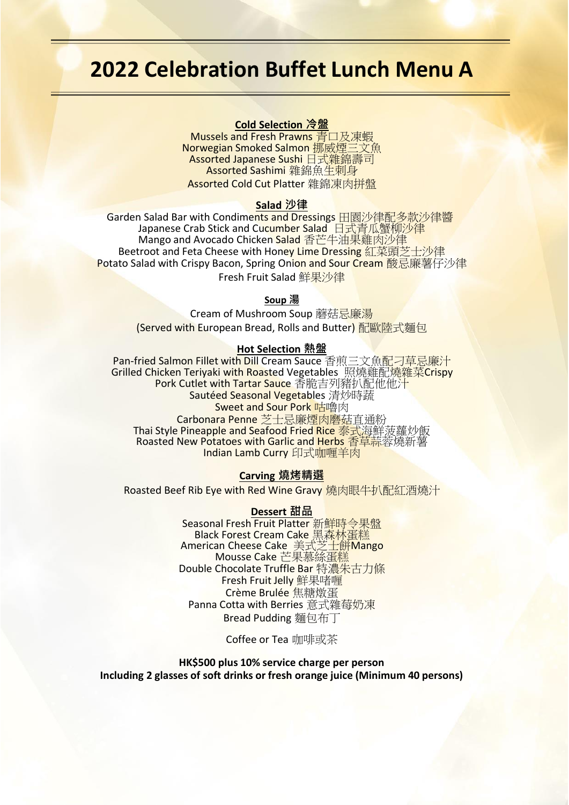## **2022 Celebration Buffet Lunch Menu A**

## **Cold Selection 冷盤**

Mussels and Fresh Prawns 青口及凍蝦 Norwegian Smoked Salmon 挪威煙三文魚 Assorted Japanese Sushi 日式雜錦壽司 Assorted Sashimi 雜錦魚生刺身 Assorted Cold Cut Platter 雜錦凍肉拼盤

#### **Salad 沙律**

Garden Salad Bar with Condiments and Dressings 田園沙律配多款沙律醬 Japanese Crab Stick and Cucumber Salad 日式青瓜蟹柳沙律 Mango and Avocado Chicken <mark>Salad</mark> 香芒牛油果雞肉沙律 Beetroot and Feta Cheese with Hon<mark>ey Lime Dressing</mark> 紅菜頭芝士沙律 Potato Salad with Crispy Bacon, Spring Onion and Sour Cream 酸忌廉薯仔沙律 Fresh Fruit Salad 鮮果沙律

#### **Soup 湯**

Cream of Mushroom Soup 蘑菇忌廉湯 (Served with European Bread, Rolls and Butter) 配歐陸式麵包

#### **Hot Selection 熱盤**

Pan-fried Salmon Fillet with Dill Cream Sauce 香煎三文魚配刁草忌廉汁 Grilled Chicken Teriyaki with Roasted Vegetables 照燒雞配燒雜菜Crispy Pork Cutlet with Tartar Sauce 香脆吉列豬扒配他他汁 Sautéed Seasonal Vegetables 清炒時蔬 **Sweet and Sour Pork 咕嚕肉** Carbonara Penne 芝士忌廉煙肉磨菇直通粉 Thai Style Pineapple and Seafood Fried Rice 泰式海鮮菠蘿炒飯 Roasted New Potatoes with Garlic and Herbs 香草蒜蓉燒新薯 Indian Lamb Curry 印式咖喱羊肉

### **Carving 燒烤精選**

Roasted Beef Rib Eye with Red Wine Gravy 燒肉眼牛扒配紅酒燒汁

#### **Dessert 甜品**

Seasonal Fresh Fruit Platter 新<mark>鮮時令果盤</mark> Black Forest Cream Cake <u>黑森林蛋糕</u> American Cheese Cake 美式芝士餅Mango Mousse Cake 芒果慕絲蛋糕 Double Chocolate Truffle Bar 特濃朱古力條 Fresh Fruit Jelly 鮮果啫喱 Crème Brulée 焦糖燉蛋 Panna Cotta with Berries 意式雜莓奶凍 Bread Pudding 麵包布丁

Coffee or Tea 咖啡或茶

**HK\$500 plus 10% service charge per person Including 2 glasses of soft drinks or fresh orange juice (Minimum 40 persons)**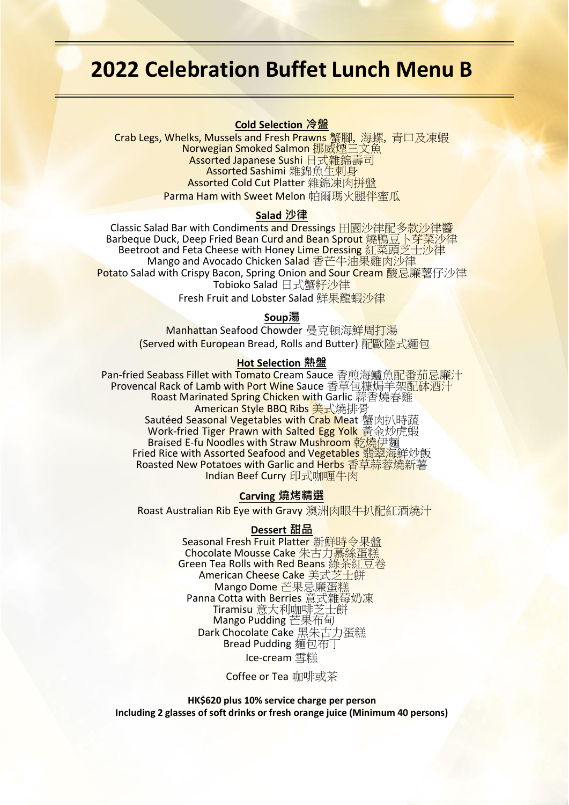## **2022 Celebration Buffet Lunch Menu B**

## **Cold Selection 冷盤**

Crab Legs, Whelks, Mussels and Fresh Prawns 蟹腳, 海螺, 青口及凍蝦 Norwegian Smoked Salmon 挪威煙三文魚 Assorted Japanese Sushi 日式雜錦壽司 Assorted Sashimi 雜錦魚生刺身 Assorted Cold Cut Platter 雜錦凍肉拼盤 Parma Ham with Sweet Melon 帕爾瑪火腿伴蜜瓜

#### **Salad 沙律**

Classic Salad Bar with Condiments and Dressings 田園沙律配多款沙律醬 Barbeque Duck, Deep Fried Bean Cu<mark>rd and Bean Sprout 燒鴨豆卜芽菜沙</mark>律 Beetroot and Feta Cheese with Honey Lime Dressing 紅菜頭芝士沙律 Mango and Avocado Chicken S<mark>alad</mark> 香芒牛油果雞肉沙律 Potato Salad with Crispy Bacon, Spring Onion and Sour Cream 酸忌廉薯仔沙律 Tobioko Salad 日式蟹籽沙律

Fresh Fruit and Lobster Salad 鮮果龍暢沙律

### **Soup湯**

Manhattan Seafood Chowder 曼克頓海鮮周打湯 (Served with European Bread, Rolls and Butter) 配歐陸式麵包

#### **Hot Selection 熱盤**

Pan-fried Seabass Fillet with Tomato Cream Sauce 香煎海鱸魚配番茄忌廉汁 Provencal Rack of Lamb with Port Wine Sauce 香草包糠焗羊架配体酒汁 Roast Marinated Spring Chicken with Garlic 蒜香燒春雞 American Style BBQ Ribs 美式燒排骨 Sautéed Seasonal Vegetables with Crab Meat 蟹肉扒時蔬 Work-fried Tiger Prawn with Salted Egg Yolk 黃金炒虎蝦 Braised E-fu Noodles with Straw Mushroom 乾燒伊麵 Fried Rice with Assorted Seafood and Vegetables 翡翠海鮮炒飯 Roasted New Potatoes with Garlic and Herbs 香草蒜蓉燒新薯 Indian Beef Curry 印式咖喱牛肉

#### **Carving 燒烤精選**

Roast Australian Rib Eye with Gravy 澳洲肉眼牛扒配紅酒燒汁

#### **Dessert 甜品**

Seasonal Fresh Fruit Platter 新鮮時令果盤 Chocolate Mousse Cake 朱古力慕絲蛋糕 Green Tea Rolls with Red Beans 綠茶紅豆卷 American Chee<mark>se Cake</mark> 美式<mark>芝士</mark>餅 Mango Dome 芒果忌廉蛋糕 Panna Cotta with Berries 意式雜莓奶凍 Tiramisu 意大利咖啡芝士餅 Mango Pudding 芒果布甸 Dark Chocolate Cake 黑朱古力蛋糕 Bread Pudding 麵包布丁 Ice-cream 雪糕

Coffee or Tea 咖啡或茶

**HK\$620 plus 10% service charge per person Including 2 glasses of soft drinks or fresh orange juice (Minimum 40 persons)**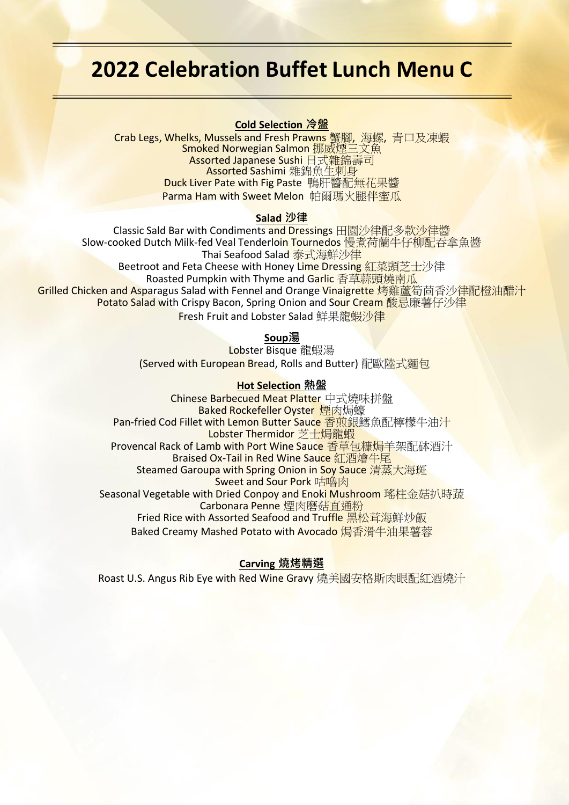## **2022 Celebration Buffet Lunch Menu C**

## **Cold Selection 冷盤**

Crab Legs, Whelks, Mussels and Fresh Prawns 蟹腳, 海螺, 青口及凍蝦 Smoked Norwegian Salmon 挪威煙三文魚 Assorted Japanese Sushi 日式雜錦壽司 Assorted Sashimi 雜錦魚生刺身 Duck Liver Pate with Fig Paste 鴨肝醬配無花果醬 Parma Ham with Sweet Melon 帕爾瑪火腿伴蜜瓜

## **Salad 沙律**

Classic Sald Bar with Condiments and Dressings 田園沙律配多款沙律醬 Slow-cooked Dutch Milk-fed Veal Tenderloin Tournedos 慢煮荷蘭牛仔柳配吞拿魚醬 Thai Seafood Salad <u>泰式海鮮沙律</u> Beetroot and Feta Cheese with Honey Lime Dressing 紅菜頭芝士沙律 Roasted Pumpkin with Thyme and Garlic 香草蒜頭燒南瓜 Grilled Chicken and Asparagus Salad with Fennel and Orange Vinaigrette 烤雞蘆筍茴香沙律配橙油醋汁 Potato Salad with Crispy Bacon, Spring Onion and Sour Cream 酸忌廉薯仔沙律 **Fresh Fruit and Lobster Salad** 鮮果龍暢沙律

## **Soup湯**

Lobster Bisque 龍蝦湯 (Served with European Bread, Rolls and Butter) 配歐陸式麵包

## **Hot Selection 熱盤**

Chinese Barbecued Meat Platter 中式燒味拼盤 **Baked Rockefeller Oyster 煙肉焗蠔** Pan-fried Cod Fillet with Lemon Butter Sauce 香煎銀鱈魚配檸檬牛油汁 Lobster Thermidor 芝士焗龍蝦 Provencal Rack of Lamb with Port Wine Sauc<mark>e 香草包糠焗羊</mark>架配砵酒汁 Braised Ox-Tail in Red Wine Sauce 紅酒燴牛尾 Steamed Garoupa with Spring Onion in Soy Sauce 清蒸大海斑 Sweet and Sour Pork 咕嚕肉 Seasonal Vegetable with Dried Conpoy and Enoki Mushroom 瑤柱金菇扒時蔬 Carbonara Penne 煙肉磨菇直通粉 Fried Rice with Assorted Seafood and Truffle 黑松茸海鮮炒飯 Baked Creamy Mashed Potato with Avocado 焗香滑牛油果薯蓉

## **Carving 燒烤精選**

Roast U.S. Angus Rib Eye with Red Wine Gravy 燒美國安格斯肉眼配紅酒燒汁